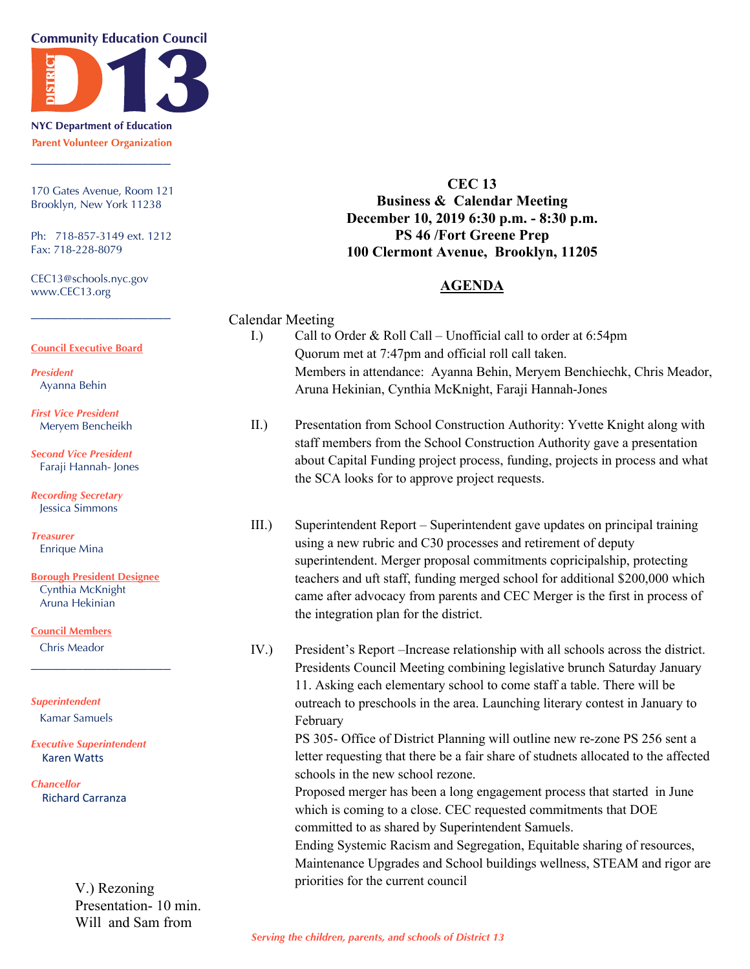## **Community Education Council**



**NYC Department of Education Parent Volunteer Organization** \_\_\_\_\_\_\_\_\_\_\_\_\_\_\_\_\_\_\_

170 Gates Avenue, Room 121 Brooklyn, New York 11238

Ph: 718-857-3149 ext. 1212 Fax: 718-228-8079

CEC13@schools.nyc.gov www.CEC13.org

**Business & Calendar Meeting December 10, 2019 6:30 p.m. - 8:30 p.m. PS 46 /Fort Greene Prep 100 Clermont Avenue, Brooklyn, 11205**

**CEC 13** 

## **AGENDA**

|                                                                                                                                                                                                                                                                                                                                                    | <b>Calendar Meeting</b> |                                                                                                                                                                                                                                      |
|----------------------------------------------------------------------------------------------------------------------------------------------------------------------------------------------------------------------------------------------------------------------------------------------------------------------------------------------------|-------------------------|--------------------------------------------------------------------------------------------------------------------------------------------------------------------------------------------------------------------------------------|
|                                                                                                                                                                                                                                                                                                                                                    | I.)                     | Call to Order & Roll Call - Unofficial call to order at 6:54pm                                                                                                                                                                       |
| <b>Council Executive Board</b>                                                                                                                                                                                                                                                                                                                     |                         | Quorum met at 7:47pm and official roll call taken.                                                                                                                                                                                   |
| <b>President</b><br>Ayanna Behin                                                                                                                                                                                                                                                                                                                   |                         | Members in attendance: Ayanna Behin, Meryem Benchiechk, Chris Meador,<br>Aruna Hekinian, Cynthia McKnight, Faraji Hannah-Jones                                                                                                       |
| <b>First Vice President</b><br>Meryem Bencheikh                                                                                                                                                                                                                                                                                                    | $II.$ )                 | Presentation from School Construction Authority: Yvette Knight along with<br>staff members from the School Construction Authority gave a presentation                                                                                |
| <b>Second Vice President</b><br>Faraji Hannah- Jones                                                                                                                                                                                                                                                                                               |                         | about Capital Funding project process, funding, projects in process and what<br>the SCA looks for to approve project requests.                                                                                                       |
| <b>Recording Secretary</b><br>Jessica Simmons                                                                                                                                                                                                                                                                                                      |                         |                                                                                                                                                                                                                                      |
| <b>Treasurer</b><br><b>Enrique Mina</b>                                                                                                                                                                                                                                                                                                            | $III.$ )                | Superintendent Report – Superintendent gave updates on principal training<br>using a new rubric and C30 processes and retirement of deputy<br>superintendent. Merger proposal commitments copricipalship, protecting                 |
| <b>Borough President Designee</b><br>Cynthia McKnight<br>Aruna Hekinian                                                                                                                                                                                                                                                                            |                         | teachers and uft staff, funding merged school for additional \$200,000 which<br>came after advocacy from parents and CEC Merger is the first in process of<br>the integration plan for the district.                                 |
| <b>Council Members</b>                                                                                                                                                                                                                                                                                                                             |                         |                                                                                                                                                                                                                                      |
| Chris Meador                                                                                                                                                                                                                                                                                                                                       | IV.)                    | President's Report-Increase relationship with all schools across the district.<br>Presidents Council Meeting combining legislative brunch Saturday January<br>11. Asking each elementary school to come staff a table. There will be |
| <b>Superintendent</b><br>Kamar Samuels                                                                                                                                                                                                                                                                                                             |                         | outreach to preschools in the area. Launching literary contest in January to<br>February                                                                                                                                             |
| <b>Executive Superintendent</b><br><b>Karen Watts</b>                                                                                                                                                                                                                                                                                              |                         | PS 305- Office of District Planning will outline new re-zone PS 256 sent a<br>letter requesting that there be a fair share of studnets allocated to the affected<br>schools in the new school rezone.                                |
| <b>Chancellor</b><br><b>Richard Carranza</b>                                                                                                                                                                                                                                                                                                       |                         | Proposed merger has been a long engagement process that started in June<br>which is coming to a close. CEC requested commitments that DOE<br>committed to as shared by Superintendent Samuels.                                       |
|                                                                                                                                                                                                                                                                                                                                                    |                         | Ending Systemic Racism and Segregation, Equitable sharing of resources,<br>Maintenance Upgrades and School buildings wellness, STEAM and rigor are                                                                                   |
| V.) Rezoning<br>$\mathbf{1}$ $\mathbf{1}$ $\mathbf{1}$ $\mathbf{1}$ $\mathbf{1}$ $\mathbf{1}$ $\mathbf{1}$ $\mathbf{1}$ $\mathbf{1}$ $\mathbf{1}$ $\mathbf{1}$ $\mathbf{1}$ $\mathbf{1}$ $\mathbf{1}$ $\mathbf{1}$ $\mathbf{1}$ $\mathbf{1}$ $\mathbf{1}$ $\mathbf{1}$ $\mathbf{1}$ $\mathbf{1}$ $\mathbf{1}$ $\mathbf{1}$ $\mathbf{1}$ $\mathbf{$ |                         | priorities for the current council                                                                                                                                                                                                   |

V.) Rezoning Presentation- 10 min. Will and Sam from